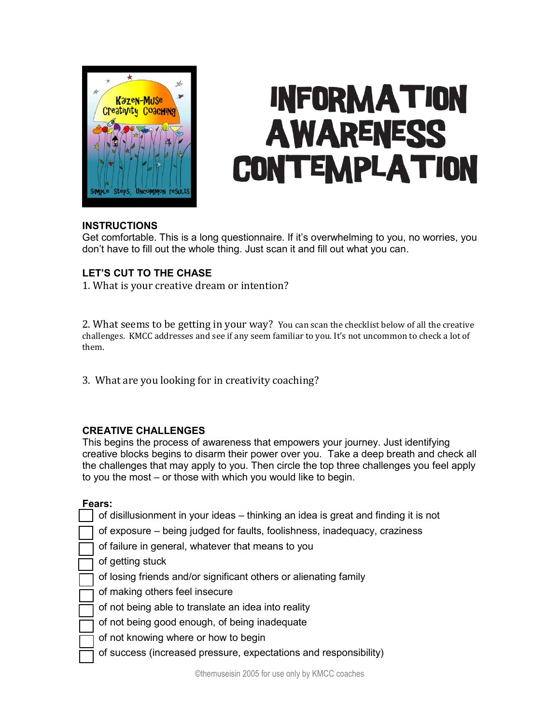

# **INFORMATION AWARENESS CONTEMPLATION**

## **INSTRUCTIONS**

Get comfortable. This is a long questionnaire. If it's overwhelming to you, no worries, you don't have to fill out the whole thing. Just scan it and fill out what you can.

## **LET'S CUT TO THE CHASE**

1. What is your creative dream or intention?

2. What seems to be getting in your way? You can scan the checklist below of all the creative challenges. KMCC addresses and see if any seem familiar to you. It's not uncommon to check a lot of them.

3. What are you looking for in creativity coaching?

## **CREATIVE CHALLENGES**

This begins the process of awareness that empowers your journey. Just identifying creative blocks begins to disarm their power over you. Take a deep breath and check all the challenges that may apply to you. Then circle the top three challenges you feel apply to you the most – or those with which you would like to begin.

## **Fears:**

- of disillusionment in your ideas thinking an idea is great and finding it is not
- of exposure being judged for faults, foolishness, inadequacy, craziness
- of failure in general, whatever that means to you
- of getting stuck
- of losing friends and/or significant others or alienating family
- of making others feel insecure
- of not being able to translate an idea into reality
- of not being good enough, of being inadequate
- of not knowing where or how to begin
- of success (increased pressure, expectations and responsibility)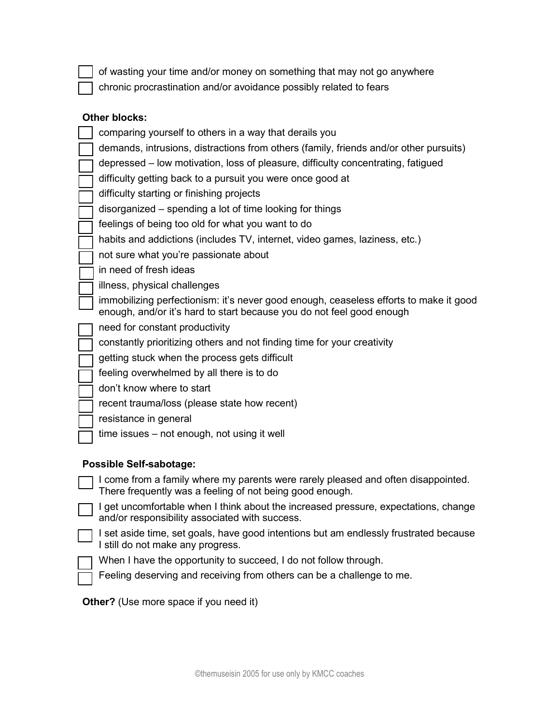of wasting your time and/or money on something that may not go anywhere

chronic procrastination and/or avoidance possibly related to fears

## **Other blocks:**

- comparing yourself to others in a way that derails you
- demands, intrusions, distractions from others (family, friends and/or other pursuits)
- depressed low motivation, loss of pleasure, difficulty concentrating, fatigued
- difficulty getting back to a pursuit you were once good at

difficulty starting or finishing projects

disorganized – spending a lot of time looking for things

feelings of being too old for what you want to do

habits and addictions (includes TV, internet, video games, laziness, etc.)

not sure what you're passionate about

in need of fresh ideas

illness, physical challenges

 immobilizing perfectionism: it's never good enough, ceaseless efforts to make it good enough, and/or it's hard to start because you do not feel good enough

need for constant productivity

constantly prioritizing others and not finding time for your creativity

getting stuck when the process gets difficult

feeling overwhelmed by all there is to do

don't know where to start

recent trauma/loss (please state how recent)

resistance in general

time issues – not enough, not using it well

## **Possible Self-sabotage:**

 I come from a family where my parents were rarely pleased and often disappointed. There frequently was a feeling of not being good enough.

 I get uncomfortable when I think about the increased pressure, expectations, change and/or responsibility associated with success.

 I set aside time, set goals, have good intentions but am endlessly frustrated because I still do not make any progress.

When I have the opportunity to succeed, I do not follow through.

Feeling deserving and receiving from others can be a challenge to me.

**Other?** (Use more space if you need it)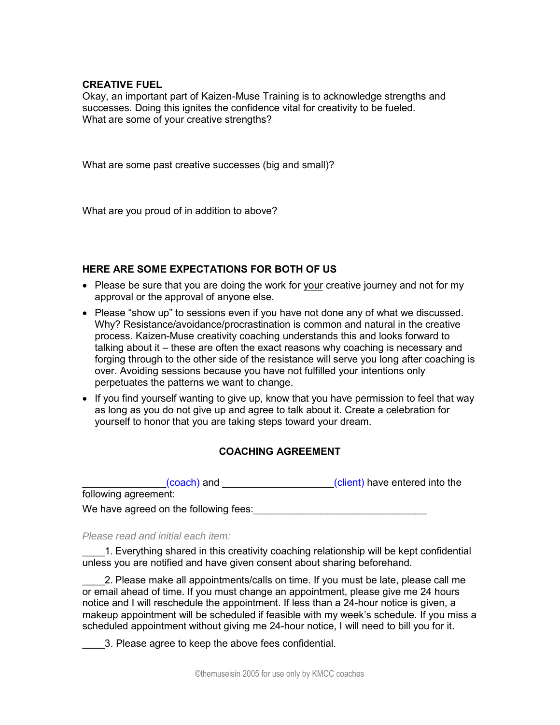### **CREATIVE FUEL**

Okay, an important part of Kaizen-Muse Training is to acknowledge strengths and successes. Doing this ignites the confidence vital for creativity to be fueled. What are some of your creative strengths?

What are some past creative successes (big and small)?

What are you proud of in addition to above?

### **HERE ARE SOME EXPECTATIONS FOR BOTH OF US**

- Please be sure that you are doing the work for your creative journey and not for my approval or the approval of anyone else.
- Please "show up" to sessions even if you have not done any of what we discussed. Why? Resistance/avoidance/procrastination is common and natural in the creative process. Kaizen-Muse creativity coaching understands this and looks forward to talking about it – these are often the exact reasons why coaching is necessary and forging through to the other side of the resistance will serve you long after coaching is over. Avoiding sessions because you have not fulfilled your intentions only perpetuates the patterns we want to change.
- If you find yourself wanting to give up, know that you have permission to feel that way as long as you do not give up and agree to talk about it. Create a celebration for yourself to honor that you are taking steps toward your dream.

## **COACHING AGREEMENT**

| (coach) and                                  | (client) have entered into the |
|----------------------------------------------|--------------------------------|
| following agreement:                         |                                |
| المعمة بمشربوالمة مطالعه امعوهم مربوع الملفا |                                |

We have agreed on the following fees:

*Please read and initial each item:* 

\_\_\_\_1. Everything shared in this creativity coaching relationship will be kept confidential unless you are notified and have given consent about sharing beforehand.

2. Please make all appointments/calls on time. If you must be late, please call me or email ahead of time. If you must change an appointment, please give me 24 hours notice and I will reschedule the appointment. If less than a 24-hour notice is given, a makeup appointment will be scheduled if feasible with my week's schedule. If you miss a scheduled appointment without giving me 24-hour notice, I will need to bill you for it.

\_\_\_\_3. Please agree to keep the above fees confidential.